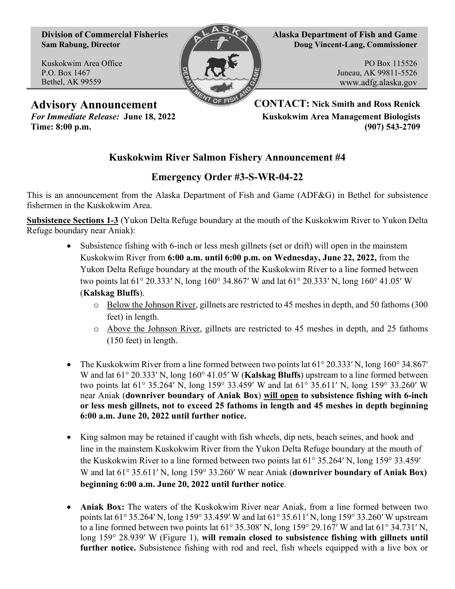**Division of Commercial Fisheries Sam Rabung, Director**

Kuskokwim Area Office P.O. Box 1467 Bethel, AK 99559



**Alaska Department of Fish and Game Doug Vincent-Lang, Commissioner**

> PO Box 115526 Juneau, AK 99811-5526 www.adfg.alaska.gov

**Advisory Announcement CONTACT: Nick Smith and Ross Renick** *For Immediate Release:* **June 18, 2022 Kuskokwim Area Management Biologists Time: 8:00 p.m. (907) 543-2709**

## **Kuskokwim River Salmon Fishery Announcement #4**

## **Emergency Order #3-S-WR-04-22**

This is an announcement from the Alaska Department of Fish and Game (ADF&G) in Bethel for subsistence fishermen in the Kuskokwim Area.

**Subsistence Sections 1-3** (Yukon Delta Refuge boundary at the mouth of the Kuskokwim River to Yukon Delta Refuge boundary near Aniak):

- Subsistence fishing with 6-inch or less mesh gillnets (set or drift) will open in the mainstem Kuskokwim River from **6:00 a.m. until 6:00 p.m. on Wednesday, June 22, 2022,** from the Yukon Delta Refuge boundary at the mouth of the Kuskokwim River to a line formed between two points lat 61° 20.333ʹ N, long 160° 34.867ʹ W and lat 61° 20.333ʹ N, long 160° 41.05ʹ W (**Kalskag Bluffs**).
	- o Below the Johnson River, gillnets are restricted to 45 meshes in depth, and 50 fathoms (300 feet) in length.
	- o Above the Johnson River, gillnets are restricted to 45 meshes in depth, and 25 fathoms (150 feet) in length.
- The Kuskokwim River from a line formed between two points lat 61° 20.333' N, long 160° 34.867' W and lat 61° 20.333ʹ N, long 160° 41.05ʹ W (**Kalskag Bluffs**) upstream to a line formed between two points lat 61° 35.264ʹ N, long 159° 33.459ʹ W and lat 61° 35.611ʹ N, long 159° 33.260ʹ W near Aniak (**downriver boundary of Aniak Box**) **will open to subsistence fishing with 6-inch or less mesh gillnets, not to exceed 25 fathoms in length and 45 meshes in depth beginning 6:00 a.m. June 20, 2022 until further notice.**
- King salmon may be retained if caught with fish wheels, dip nets, beach seines, and hook and line in the mainstem Kuskokwim River from the Yukon Delta Refuge boundary at the mouth of the Kuskokwim River to a line formed between two points lat 61° 35.264ʹ N, long 159° 33.459ʹ W and lat 61° 35.611ʹ N, long 159° 33.260ʹ W near Aniak (**downriver boundary of Aniak Box) beginning 6:00 a.m. June 20, 2022 until further notice**.
- **Aniak Box:** The waters of the Kuskokwim River near Aniak, from a line formed between two points lat 61° 35.264ʹ N, long 159° 33.459ʹ W and lat 61° 35.611ʹ N, long 159° 33.260ʹ W upstream to a line formed between two points lat  $61^{\circ}$  35.308′ N, long 159° 29.167′ W and lat  $61^{\circ}$  34.731′ N, long 159° 28.939ʹ W (Figure 1), **will remain closed to subsistence fishing with gillnets until further notice.** Subsistence fishing with rod and reel, fish wheels equipped with a live box or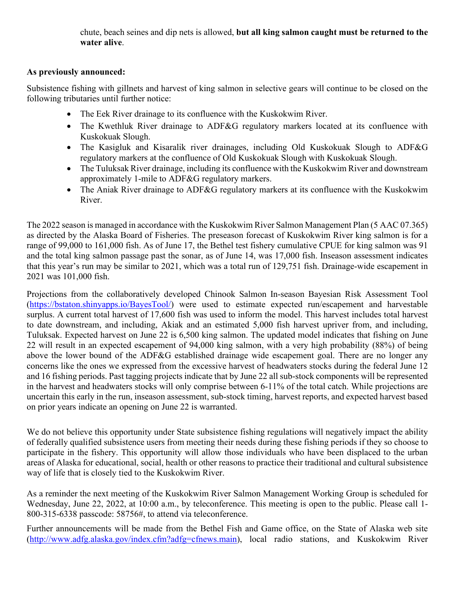chute, beach seines and dip nets is allowed, **but all king salmon caught must be returned to the water alive**.

## **As previously announced:**

Subsistence fishing with gillnets and harvest of king salmon in selective gears will continue to be closed on the following tributaries until further notice:

- The Eek River drainage to its confluence with the Kuskokwim River.
- The Kwethluk River drainage to ADF&G regulatory markers located at its confluence with Kuskokuak Slough.
- The Kasigluk and Kisaralik river drainages, including Old Kuskokuak Slough to ADF&G regulatory markers at the confluence of Old Kuskokuak Slough with Kuskokuak Slough.
- The Tuluksak River drainage, including its confluence with the Kuskokwim River and downstream approximately 1-mile to ADF&G regulatory markers.
- The Aniak River drainage to ADF&G regulatory markers at its confluence with the Kuskokwim River.

The 2022 season is managed in accordance with the Kuskokwim River Salmon Management Plan (5 AAC 07.365) as directed by the Alaska Board of Fisheries. The preseason forecast of Kuskokwim River king salmon is for a range of 99,000 to 161,000 fish. As of June 17, the Bethel test fishery cumulative CPUE for king salmon was 91 and the total king salmon passage past the sonar, as of June 14, was 17,000 fish. Inseason assessment indicates that this year's run may be similar to 2021, which was a total run of 129,751 fish. Drainage-wide escapement in 2021 was 101,000 fish.

Projections from the collaboratively developed Chinook Salmon In-season Bayesian Risk Assessment Tool [\(https://bstaton.shinyapps.io/BayesTool/\)](https://bstaton.shinyapps.io/BayesTool/) were used to estimate expected run/escapement and harvestable surplus. A current total harvest of 17,600 fish was used to inform the model. This harvest includes total harvest to date downstream, and including, Akiak and an estimated 5,000 fish harvest upriver from, and including, Tuluksak. Expected harvest on June 22 is 6,500 king salmon. The updated model indicates that fishing on June 22 will result in an expected escapement of 94,000 king salmon, with a very high probability (88%) of being above the lower bound of the ADF&G established drainage wide escapement goal. There are no longer any concerns like the ones we expressed from the excessive harvest of headwaters stocks during the federal June 12 and 16 fishing periods. Past tagging projects indicate that by June 22 all sub-stock components will be represented in the harvest and headwaters stocks will only comprise between 6-11% of the total catch. While projections are uncertain this early in the run, inseason assessment, sub-stock timing, harvest reports, and expected harvest based on prior years indicate an opening on June 22 is warranted.

We do not believe this opportunity under State subsistence fishing regulations will negatively impact the ability of federally qualified subsistence users from meeting their needs during these fishing periods if they so choose to participate in the fishery. This opportunity will allow those individuals who have been displaced to the urban areas of Alaska for educational, social, health or other reasons to practice their traditional and cultural subsistence way of life that is closely tied to the Kuskokwim River.

As a reminder the next meeting of the Kuskokwim River Salmon Management Working Group is scheduled for Wednesday, June 22, 2022, at 10:00 a.m., by teleconference. This meeting is open to the public. Please call 1- 800-315-6338 passcode: 58756#, to attend via teleconference.

Further announcements will be made from the Bethel Fish and Game office, on the State of Alaska web site [\(http://www.adfg.alaska.gov/index.cfm?adfg=cfnews.main\)](http://www.adfg.alaska.gov/index.cfm?adfg=cfnews.main), local radio stations, and Kuskokwim River